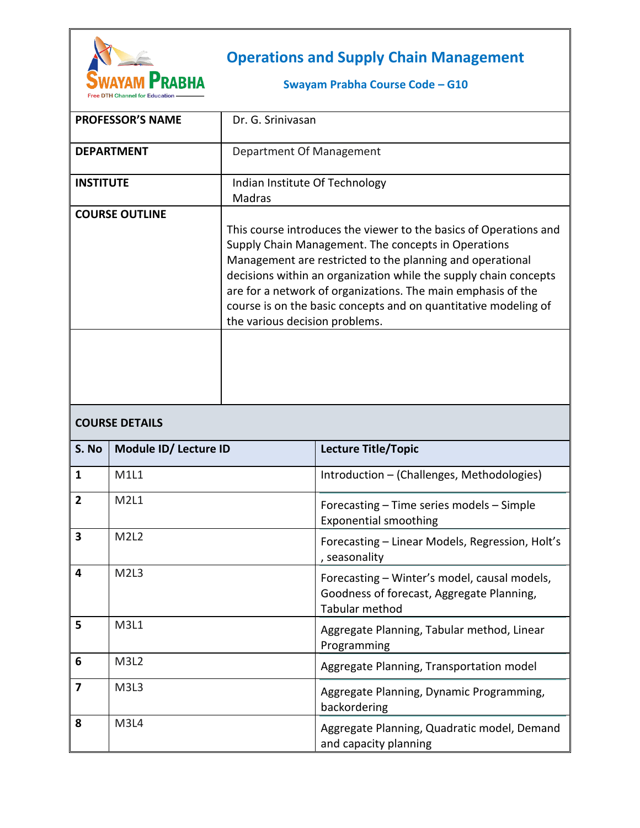

## **Operations and Supply Chain Management**

## **Swayam Prabha Course Code – G10**

|                         | <b>PROFESSOR'S NAME</b> | Dr. G. Srinivasan                                                                                                                                                                                                                                                                                                                                                                                                              |                                                                                                             |  |
|-------------------------|-------------------------|--------------------------------------------------------------------------------------------------------------------------------------------------------------------------------------------------------------------------------------------------------------------------------------------------------------------------------------------------------------------------------------------------------------------------------|-------------------------------------------------------------------------------------------------------------|--|
| <b>DEPARTMENT</b>       |                         | Department Of Management                                                                                                                                                                                                                                                                                                                                                                                                       |                                                                                                             |  |
| <b>INSTITUTE</b>        |                         | Indian Institute Of Technology<br>Madras                                                                                                                                                                                                                                                                                                                                                                                       |                                                                                                             |  |
| <b>COURSE OUTLINE</b>   |                         | This course introduces the viewer to the basics of Operations and<br>Supply Chain Management. The concepts in Operations<br>Management are restricted to the planning and operational<br>decisions within an organization while the supply chain concepts<br>are for a network of organizations. The main emphasis of the<br>course is on the basic concepts and on quantitative modeling of<br>the various decision problems. |                                                                                                             |  |
|                         |                         |                                                                                                                                                                                                                                                                                                                                                                                                                                |                                                                                                             |  |
| <b>COURSE DETAILS</b>   |                         |                                                                                                                                                                                                                                                                                                                                                                                                                                |                                                                                                             |  |
| S. No                   | Module ID/ Lecture ID   |                                                                                                                                                                                                                                                                                                                                                                                                                                | Lecture Title/Topic                                                                                         |  |
| 1                       | <b>M1L1</b>             |                                                                                                                                                                                                                                                                                                                                                                                                                                | Introduction - (Challenges, Methodologies)                                                                  |  |
| $\overline{2}$          | <b>M2L1</b>             |                                                                                                                                                                                                                                                                                                                                                                                                                                | Forecasting - Time series models - Simple<br><b>Exponential smoothing</b>                                   |  |
| $\overline{\mathbf{3}}$ | M <sub>2L2</sub>        |                                                                                                                                                                                                                                                                                                                                                                                                                                | Forecasting - Linear Models, Regression, Holt's<br>, seasonality                                            |  |
| 4                       | M <sub>2L</sub> 3       |                                                                                                                                                                                                                                                                                                                                                                                                                                | Forecasting - Winter's model, causal models,<br>Goodness of forecast, Aggregate Planning,<br>Tabular method |  |
| 5                       | M3L1                    |                                                                                                                                                                                                                                                                                                                                                                                                                                | Aggregate Planning, Tabular method, Linear<br>Programming                                                   |  |
| 6                       |                         |                                                                                                                                                                                                                                                                                                                                                                                                                                |                                                                                                             |  |
|                         | M3L2                    |                                                                                                                                                                                                                                                                                                                                                                                                                                | Aggregate Planning, Transportation model                                                                    |  |
| $\overline{\mathbf{z}}$ | M3L3                    |                                                                                                                                                                                                                                                                                                                                                                                                                                | Aggregate Planning, Dynamic Programming,<br>backordering                                                    |  |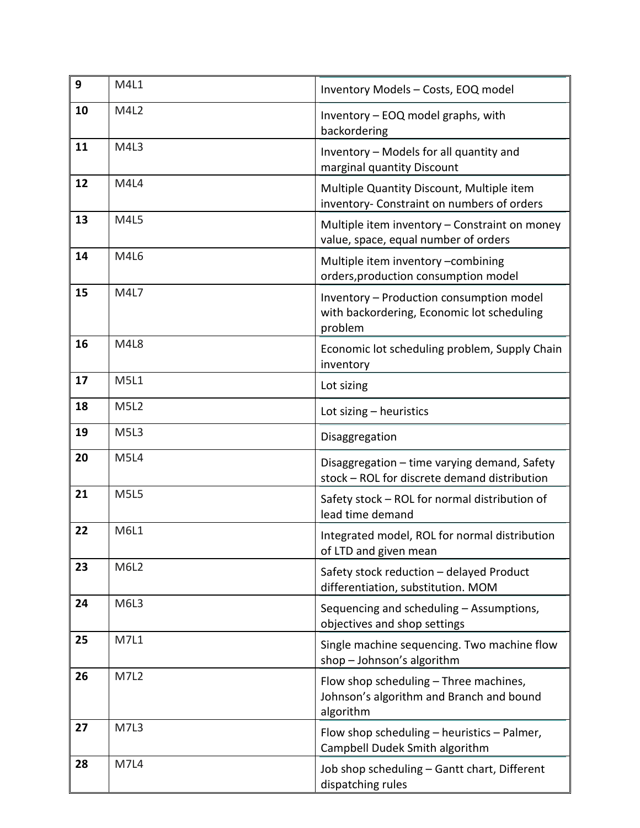| 9  | M4L1        | Inventory Models - Costs, EOQ model                                                               |
|----|-------------|---------------------------------------------------------------------------------------------------|
| 10 | M4L2        | Inventory - EOQ model graphs, with<br>backordering                                                |
| 11 | M4L3        | Inventory - Models for all quantity and<br>marginal quantity Discount                             |
| 12 | M4L4        | Multiple Quantity Discount, Multiple item<br>inventory- Constraint on numbers of orders           |
| 13 | M4L5        | Multiple item inventory - Constraint on money<br>value, space, equal number of orders             |
| 14 | M4L6        | Multiple item inventory -combining<br>orders, production consumption model                        |
| 15 | M4L7        | Inventory - Production consumption model<br>with backordering, Economic lot scheduling<br>problem |
| 16 | M4L8        | Economic lot scheduling problem, Supply Chain<br>inventory                                        |
| 17 | M5L1        | Lot sizing                                                                                        |
| 18 | <b>M5L2</b> | Lot sizing - heuristics                                                                           |
| 19 | <b>M5L3</b> | Disaggregation                                                                                    |
| 20 | <b>M5L4</b> | Disaggregation - time varying demand, Safety<br>stock - ROL for discrete demand distribution      |
| 21 | <b>M5L5</b> | Safety stock - ROL for normal distribution of<br>lead time demand                                 |
| 22 | M6L1        | Integrated model, ROL for normal distribution<br>of LTD and given mean                            |
| 23 | <b>M6L2</b> | Safety stock reduction - delayed Product<br>differentiation, substitution. MOM                    |
| 24 | M6L3        | Sequencing and scheduling - Assumptions,<br>objectives and shop settings                          |
| 25 | M7L1        | Single machine sequencing. Two machine flow<br>shop - Johnson's algorithm                         |
| 26 | <b>M7L2</b> | Flow shop scheduling - Three machines,<br>Johnson's algorithm and Branch and bound<br>algorithm   |
| 27 | M7L3        | Flow shop scheduling - heuristics - Palmer,<br>Campbell Dudek Smith algorithm                     |
| 28 | <b>M7L4</b> | Job shop scheduling - Gantt chart, Different<br>dispatching rules                                 |